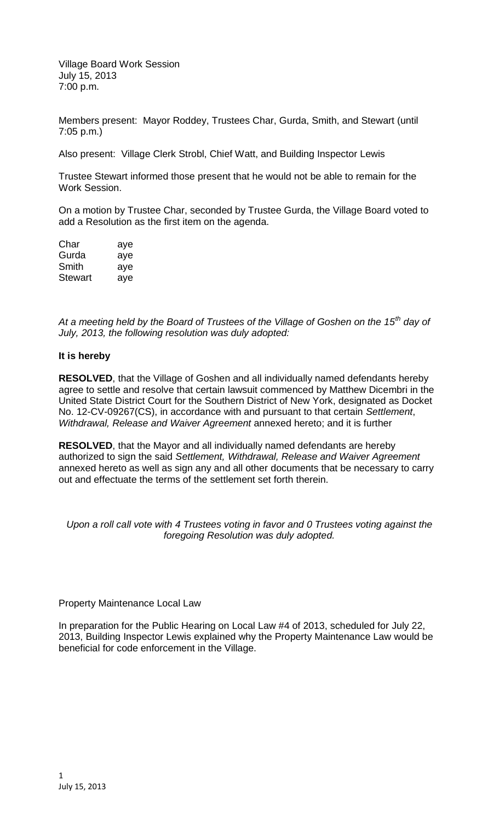Village Board Work Session July 15, 2013 7:00 p.m.

Members present: Mayor Roddey, Trustees Char, Gurda, Smith, and Stewart (until 7:05 p.m.)

Also present: Village Clerk Strobl, Chief Watt, and Building Inspector Lewis

Trustee Stewart informed those present that he would not be able to remain for the Work Session.

On a motion by Trustee Char, seconded by Trustee Gurda, the Village Board voted to add a Resolution as the first item on the agenda.

| Char    | aye |
|---------|-----|
| Gurda   | aye |
| Smith   | aye |
| Stewart | aye |

*At a meeting held by the Board of Trustees of the Village of Goshen on the 15th day of July, 2013, the following resolution was duly adopted:*

## **It is hereby**

**RESOLVED**, that the Village of Goshen and all individually named defendants hereby agree to settle and resolve that certain lawsuit commenced by Matthew Dicembri in the United State District Court for the Southern District of New York, designated as Docket No. 12-CV-09267(CS), in accordance with and pursuant to that certain *Settlement*, *Withdrawal, Release and Waiver Agreement* annexed hereto; and it is further

**RESOLVED**, that the Mayor and all individually named defendants are hereby authorized to sign the said *Settlement, Withdrawal, Release and Waiver Agreement* annexed hereto as well as sign any and all other documents that be necessary to carry out and effectuate the terms of the settlement set forth therein.

*Upon a roll call vote with 4 Trustees voting in favor and 0 Trustees voting against the foregoing Resolution was duly adopted.*

## Property Maintenance Local Law

In preparation for the Public Hearing on Local Law #4 of 2013, scheduled for July 22, 2013, Building Inspector Lewis explained why the Property Maintenance Law would be beneficial for code enforcement in the Village.